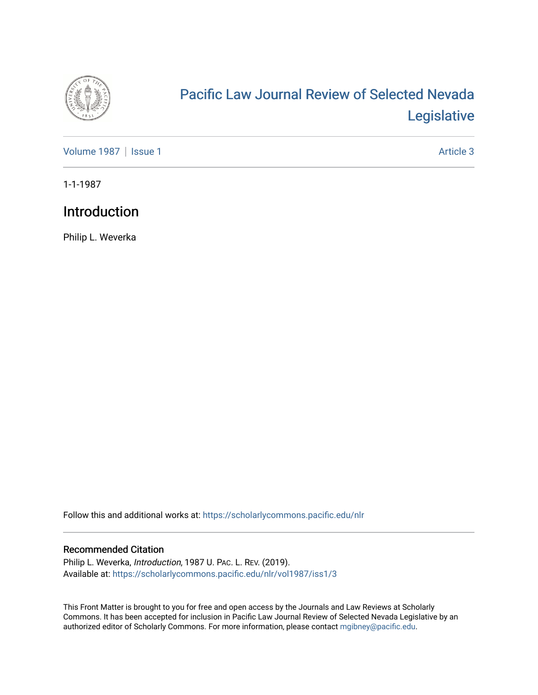

## [Pacific Law Journal Review of Selected Nevada](https://scholarlycommons.pacific.edu/nlr)  [Legislative](https://scholarlycommons.pacific.edu/nlr)

[Volume 1987](https://scholarlycommons.pacific.edu/nlr/vol1987) | [Issue 1](https://scholarlycommons.pacific.edu/nlr/vol1987/iss1) Article 3

1-1-1987

## Introduction

Philip L. Weverka

Follow this and additional works at: [https://scholarlycommons.pacific.edu/nlr](https://scholarlycommons.pacific.edu/nlr?utm_source=scholarlycommons.pacific.edu%2Fnlr%2Fvol1987%2Fiss1%2F3&utm_medium=PDF&utm_campaign=PDFCoverPages) 

## Recommended Citation

Philip L. Weverka, Introduction, 1987 U. PAC. L. REV. (2019). Available at: [https://scholarlycommons.pacific.edu/nlr/vol1987/iss1/3](https://scholarlycommons.pacific.edu/nlr/vol1987/iss1/3?utm_source=scholarlycommons.pacific.edu%2Fnlr%2Fvol1987%2Fiss1%2F3&utm_medium=PDF&utm_campaign=PDFCoverPages) 

This Front Matter is brought to you for free and open access by the Journals and Law Reviews at Scholarly Commons. It has been accepted for inclusion in Pacific Law Journal Review of Selected Nevada Legislative by an authorized editor of Scholarly Commons. For more information, please contact [mgibney@pacific.edu](mailto:mgibney@pacific.edu).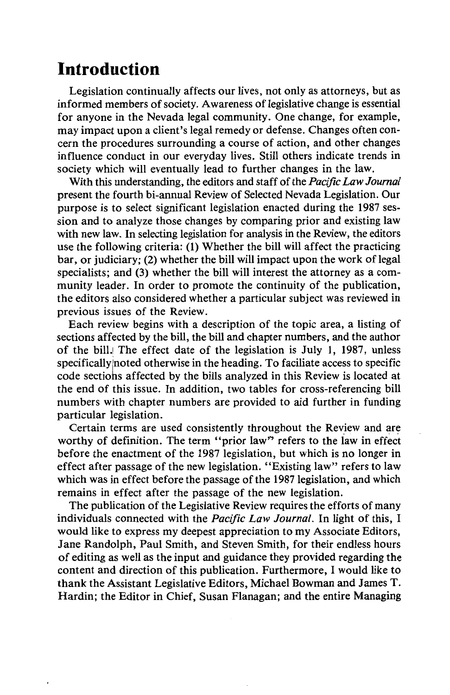## **Introduction**

Legislation continually affects our lives, not only as attorneys, but as informed members of society. Awareness of legislative change is essential for anyone in the Nevada legal community. One change, for example, may impact upon a client's legal remedy or defense. Changes often concern the procedures surrounding a course of action, and other changes influence conduct in our everyday lives. Still others indicate trends in society which will eventually lead to further changes in the law.

With this understanding, the editors and staff of the *Pacific Law Journal*  present the fourth bi-annual Review of Selected Nevada Legislation. Our purpose is to select significant legislation enacted during the 1987 session and to analyze those changes by comparing prior and existing law with new law. In selecting legislation for analysis in the Review, the editors use the following criteria: (1) Whether the bill will affect the practicing bar, or judiciary; (2) whether the bill will impact upon the work of legal specialists; and (3) whether the bill will interest the attorney as a community leader. In order to promote the continuity of the publication, the editors also considered whether a particular subject was reviewed in previous issues of the Review.

Each review begins with a description of the topic area, a listing of sections affected by the bill, the bill and chapter numbers, and the author of the bill.! The effect date of the legislation is July 1, 1987, unless specifically noted otherwise in the heading. To faciliate access to specific code sectiohs affected by the bills analyzed in this Review is located at the end of this issue. In addition, two tables for cross-referencing bill numbers with chapter numbers are provided to aid further in funding particular legislation.

Certain terms are used consistently throughout the Review and are worthy of definition. The term "prior law" refers to the law in effect before the enactment of the 1987 legislation, but which is no longer in effect after passage of the new legislation. "Existing law" refers to law which was in effect before the passage of the 1987 legislation, and which remains in effect after the passage of the new legislation.

The publication of the Legislative Review requires the efforts of many individuals connected with the *Pacific Law Journal.* In light of this, I would like to express my deepest appreciation to my Associate Editors, Jane Randolph, Paul Smith, and Steven Smith, for their endless hours of editing as well as the input and guidance they provided regarding the content and direction of this publication. Furthermore, I would like to thank the Assistant Legislative Editors, Michael Bowman and James T. Hardin; the Editor in Chief, Susan Flanagan; and the entire Managing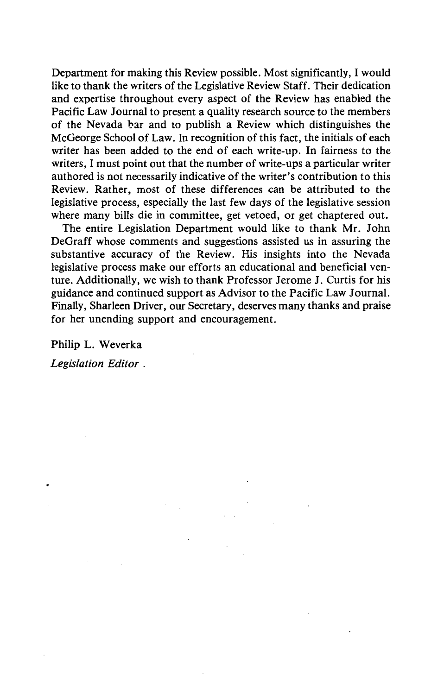Department for making this Review possible. Most significantly, I would like to thank the writers of the Legislative Review Staff. Their dedication and expertise throughout every aspect of the Review has enabled the Pacific Law Journal to present a quality research source to the members of the Nevada bar and to publish a Review which distinguishes the McGeorge School of Law. In recognition of this fact, the initials of each writer has been added to the end of each write-up. In fairness to the writers, I must point out that the number of write-ups a particular writer authored is not necessarily indicative of the writer's contribution to this Review. Rather, most of these differences can be attributed to the legislative process, especially the last few days of the legislative session where many bills die in committee, get vetoed, or get chaptered out.

The entire Legislation Department would like to thank Mr. John DeGraff whose comments and suggestions assisted us in assuring the substantive accuracy of the Review. His insights into the Nevada legislative process make our efforts an educational and beneficial venture. Additionally, we wish to thank Professor Jerome J. Curtis for his guidance and continued support as Advisor to the Pacific Law Journal. Finally, Sharleen Driver, our Secretary, deserves many thanks and praise for her unending support and encouragement.

Philip L. Weverka

*Legislation Editor* .